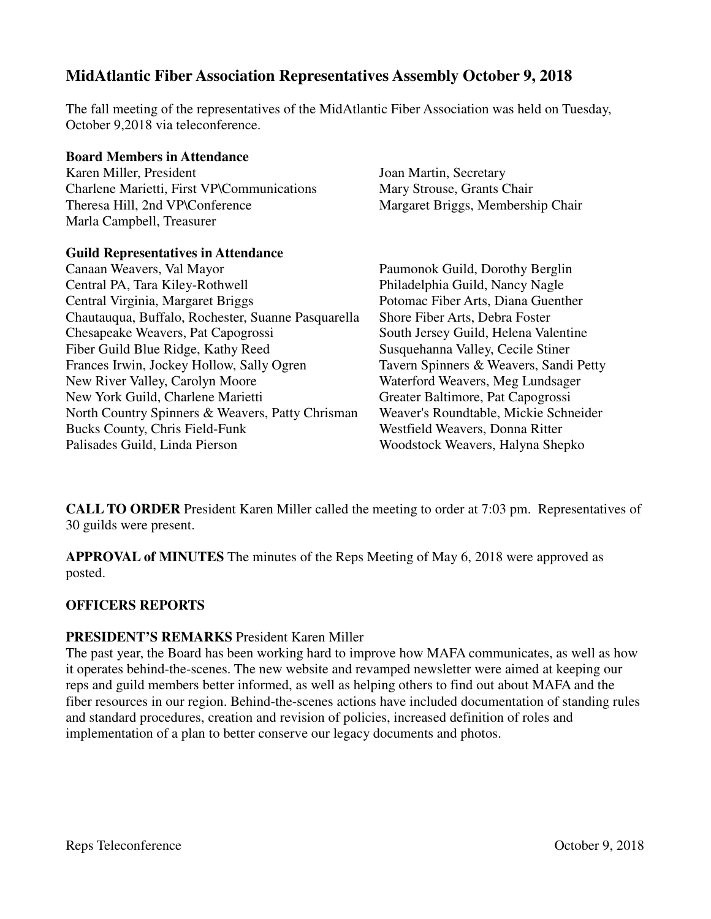# **MidAtlantic Fiber Association Representatives Assembly October 9, 2018**

The fall meeting of the representatives of the MidAtlantic Fiber Association was held on Tuesday, October 9,2018 via teleconference.

#### **Board Members in Attendance**

Karen Miller, President Charlene Marietti, First VP\Communications Theresa Hill, 2nd VP\Conference Marla Campbell, Treasurer

#### **Guild Representatives in Attendance**

Canaan Weavers, Val Mayor Central PA, Tara Kiley-Rothwell Central Virginia, Margaret Briggs Chautauqua, Buffalo, Rochester, Suanne Pasquarella Chesapeake Weavers, Pat Capogrossi Fiber Guild Blue Ridge, Kathy Reed Frances Irwin, Jockey Hollow, Sally Ogren New River Valley, Carolyn Moore New York Guild, Charlene Marietti North Country Spinners & Weavers, Patty Chrisman Bucks County, Chris Field-Funk Palisades Guild, Linda Pierson

Joan Martin, Secretary Mary Strouse, Grants Chair Margaret Briggs, Membership Chair

Paumonok Guild, Dorothy Berglin Philadelphia Guild, Nancy Nagle Potomac Fiber Arts, Diana Guenther Shore Fiber Arts, Debra Foster South Jersey Guild, Helena Valentine Susquehanna Valley, Cecile Stiner Tavern Spinners & Weavers, Sandi Petty Waterford Weavers, Meg Lundsager Greater Baltimore, Pat Capogrossi Weaver's Roundtable, Mickie Schneider Westfield Weavers, Donna Ritter Woodstock Weavers, Halyna Shepko

**CALL TO ORDER** President Karen Miller called the meeting to order at 7:03 pm. Representatives of 30 guilds were present.

**APPROVAL of MINUTES** The minutes of the Reps Meeting of May 6, 2018 were approved as posted.

#### **OFFICERS REPORTS**

#### **PRESIDENT'S REMARKS** President Karen Miller

The past year, the Board has been working hard to improve how MAFA communicates, as well as how it operates behind-the-scenes. The new website and revamped newsletter were aimed at keeping our reps and guild members better informed, as well as helping others to find out about MAFA and the fiber resources in our region. Behind-the-scenes actions have included documentation of standing rules and standard procedures, creation and revision of policies, increased definition of roles and implementation of a plan to better conserve our legacy documents and photos.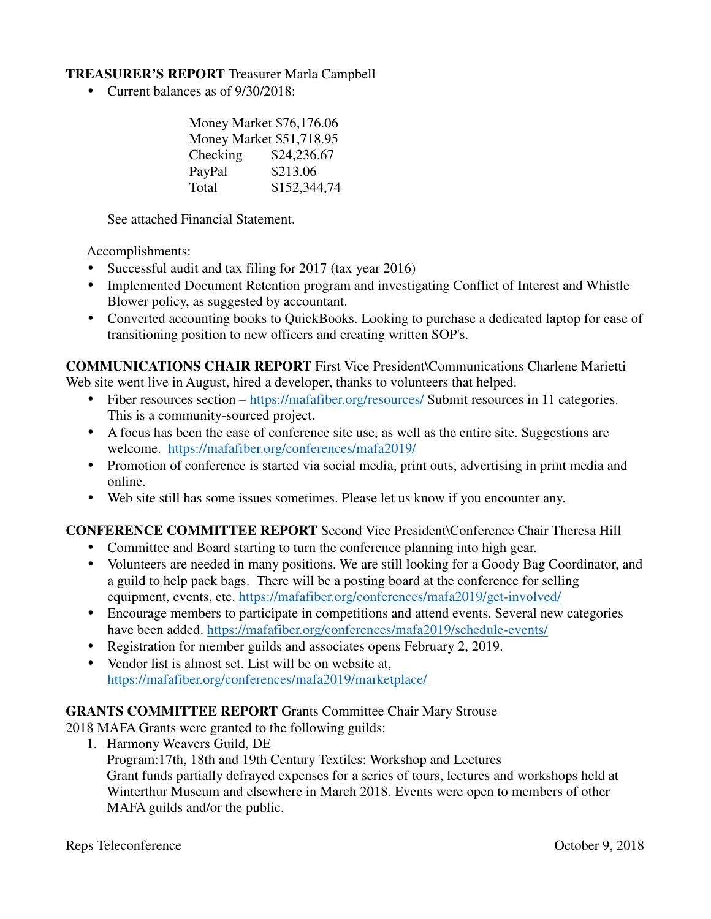#### **TREASURER'S REPORT** Treasurer Marla Campbell

• Current balances as of  $9/30/2018$ :

|          | Money Market \$76,176.06 |  |  |  |  |  |
|----------|--------------------------|--|--|--|--|--|
|          | Money Market \$51,718.95 |  |  |  |  |  |
| Checking | \$24,236.67              |  |  |  |  |  |
| PayPal   | \$213.06                 |  |  |  |  |  |
| Total    | \$152,344,74             |  |  |  |  |  |

See attached Financial Statement.

Accomplishments:

- Successful audit and tax filing for 2017 (tax year 2016)
- Implemented Document Retention program and investigating Conflict of Interest and Whistle Blower policy, as suggested by accountant.
- Converted accounting books to QuickBooks. Looking to purchase a dedicated laptop for ease of transitioning position to new officers and creating written SOP's.

**COMMUNICATIONS CHAIR REPORT** First Vice President\Communications Charlene Marietti Web site went live in August, hired a developer, thanks to volunteers that helped.

- Fiber resources section https://mafafiber.org/resources/ Submit resources in 11 categories. This is a community-sourced project.
- A focus has been the ease of conference site use, as well as the entire site. Suggestions are welcome. https://mafafiber.org/conferences/mafa2019/
- Promotion of conference is started via social media, print outs, advertising in print media and online.
- Web site still has some issues sometimes. Please let us know if you encounter any.

# **CONFERENCE COMMITTEE REPORT** Second Vice President\Conference Chair Theresa Hill

- Committee and Board starting to turn the conference planning into high gear.
- Volunteers are needed in many positions. We are still looking for a Goody Bag Coordinator, and a guild to help pack bags. There will be a posting board at the conference for selling equipment, events, etc. https://mafafiber.org/conferences/mafa2019/get-involved/
- Encourage members to participate in competitions and attend events. Several new categories have been added. https://mafafiber.org/conferences/mafa2019/schedule-events/
- Registration for member guilds and associates opens February 2, 2019.
- Vendor list is almost set. List will be on website at, https://mafafiber.org/conferences/mafa2019/marketplace/

# **GRANTS COMMITTEE REPORT** Grants Committee Chair Mary Strouse

2018 MAFA Grants were granted to the following guilds:

1. Harmony Weavers Guild, DE Program:17th, 18th and 19th Century Textiles: Workshop and Lectures Grant funds partially defrayed expenses for a series of tours, lectures and workshops held at Winterthur Museum and elsewhere in March 2018. Events were open to members of other MAFA guilds and/or the public.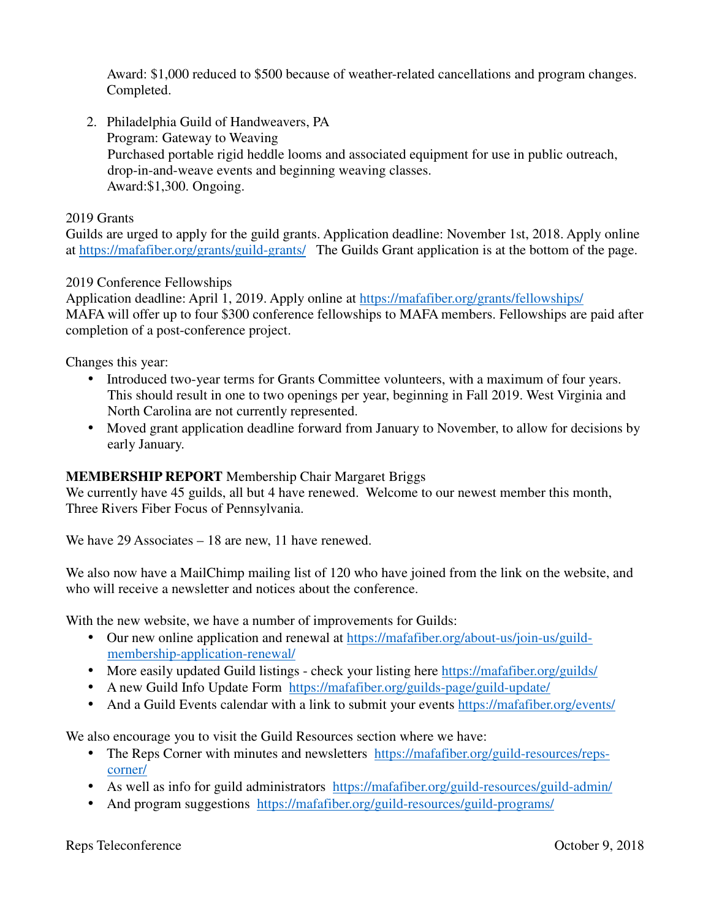Award: \$1,000 reduced to \$500 because of weather-related cancellations and program changes. Completed.

2. Philadelphia Guild of Handweavers, PA Program: Gateway to Weaving Purchased portable rigid heddle looms and associated equipment for use in public outreach, drop-in-and-weave events and beginning weaving classes. Award:\$1,300. Ongoing.

#### 2019 Grants

Guilds are urged to apply for the guild grants. Application deadline: November 1st, 2018. Apply online at https://mafafiber.org/grants/guild-grants/ The Guilds Grant application is at the bottom of the page.

## 2019 Conference Fellowships

Application deadline: April 1, 2019. Apply online at https://mafafiber.org/grants/fellowships/ MAFA will offer up to four \$300 conference fellowships to MAFA members. Fellowships are paid after completion of a post-conference project.

Changes this year:

- Introduced two-year terms for Grants Committee volunteers, with a maximum of four years. This should result in one to two openings per year, beginning in Fall 2019. West Virginia and North Carolina are not currently represented.
- Moved grant application deadline forward from January to November, to allow for decisions by early January.

## **MEMBERSHIP REPORT** Membership Chair Margaret Briggs

We currently have 45 guilds, all but 4 have renewed. Welcome to our newest member this month, Three Rivers Fiber Focus of Pennsylvania.

We have 29 Associates – 18 are new, 11 have renewed.

We also now have a MailChimp mailing list of 120 who have joined from the link on the website, and who will receive a newsletter and notices about the conference.

With the new website, we have a number of improvements for Guilds:

- Our new online application and renewal at https://mafafiber.org/about-us/join-us/guildmembership-application-renewal/
- More easily updated Guild listings check your listing here https://mafafiber.org/guilds/
- A new Guild Info Update Form https://mafafiber.org/guilds-page/guild-update/
- And a Guild Events calendar with a link to submit your events https://mafafiber.org/events/

We also encourage you to visit the Guild Resources section where we have:

- The Reps Corner with minutes and newsletters https://mafafiber.org/guild-resources/repscorner/
- As well as info for guild administrators https://mafafiber.org/guild-resources/guild-admin/
- And program suggestions https://mafafiber.org/guild-resources/guild-programs/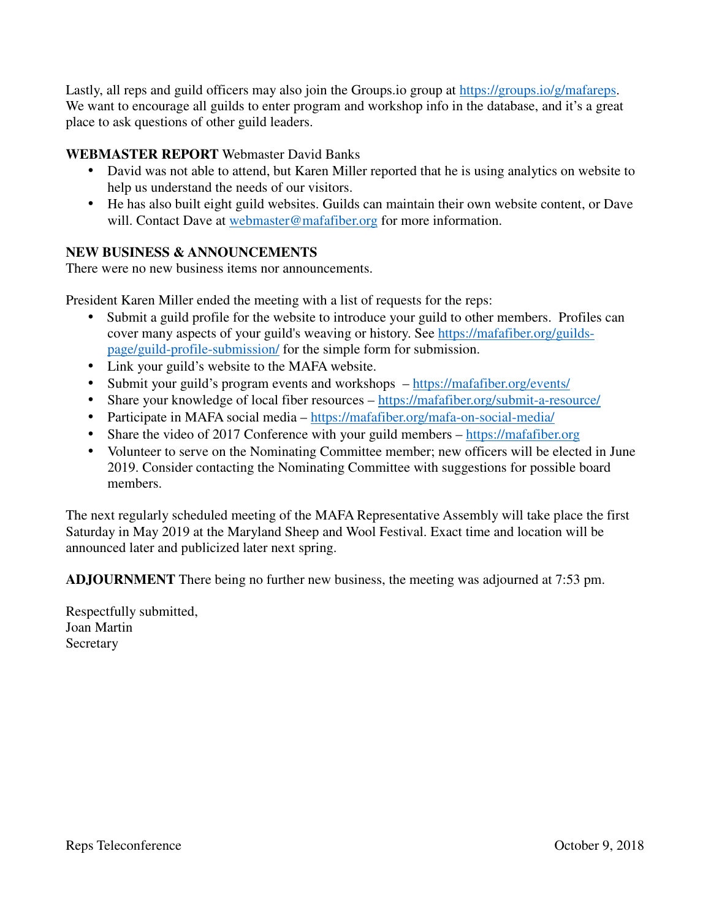Lastly, all reps and guild officers may also join the Groups.io group at https://groups.io/g/mafareps. We want to encourage all guilds to enter program and workshop info in the database, and it's a great place to ask questions of other guild leaders.

## **WEBMASTER REPORT** Webmaster David Banks

- David was not able to attend, but Karen Miller reported that he is using analytics on website to help us understand the needs of our visitors.
- He has also built eight guild websites. Guilds can maintain their own website content, or Dave will. Contact Dave at webmaster@mafafiber.org for more information.

## **NEW BUSINESS & ANNOUNCEMENTS**

There were no new business items nor announcements.

President Karen Miller ended the meeting with a list of requests for the reps:

- Submit a guild profile for the website to introduce your guild to other members. Profiles can cover many aspects of your guild's weaving or history. See https://mafafiber.org/guildspage/guild-profile-submission/ for the simple form for submission.
- Link your guild's website to the MAFA website.
- Submit your guild's program events and workshops  $-\frac{https://mathf>inf}5$ .
- Share your knowledge of local fiber resources https://mafafiber.org/submit-a-resource/
- Participate in MAFA social media https://mafafiber.org/mafa-on-social-media/
- Share the video of 2017 Conference with your guild members https://mafafiber.org
- Volunteer to serve on the Nominating Committee member; new officers will be elected in June 2019. Consider contacting the Nominating Committee with suggestions for possible board members.

The next regularly scheduled meeting of the MAFA Representative Assembly will take place the first Saturday in May 2019 at the Maryland Sheep and Wool Festival. Exact time and location will be announced later and publicized later next spring.

**ADJOURNMENT** There being no further new business, the meeting was adjourned at 7:53 pm.

Respectfully submitted, Joan Martin Secretary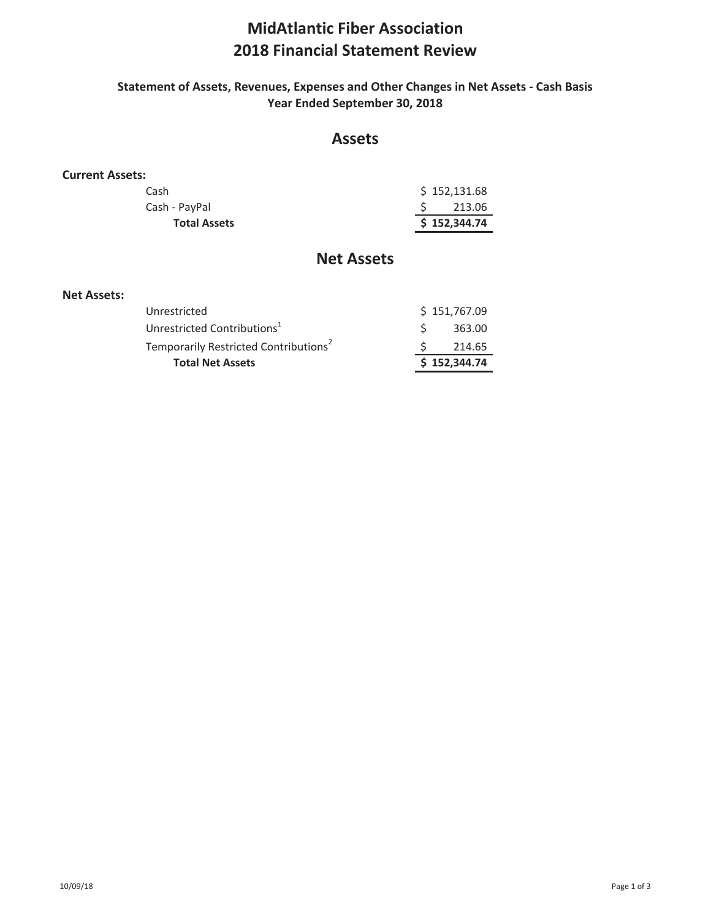# **MidAtlantic Fiber Association 2018 Financial Statement Review**

#### **Statement of Assets, Revenues, Expenses and Other Changes in Net Assets - Cash Basis Year Ended September 30, 2018**

# **Assets**

#### **Current Assets:**

| <b>Total Assets</b> | \$152,344.74 |
|---------------------|--------------|
| Cash - PayPal       | 213.06       |
| Cash                | \$152,131.68 |

# **Net Assets**

#### **Net Assets:**

| Unrestricted                                      | \$151,767.09 |  |
|---------------------------------------------------|--------------|--|
| Unrestricted Contributions <sup>1</sup>           | 363.00       |  |
| Temporarily Restricted Contributions <sup>2</sup> | 214.65       |  |
| <b>Total Net Assets</b>                           | \$152,344.74 |  |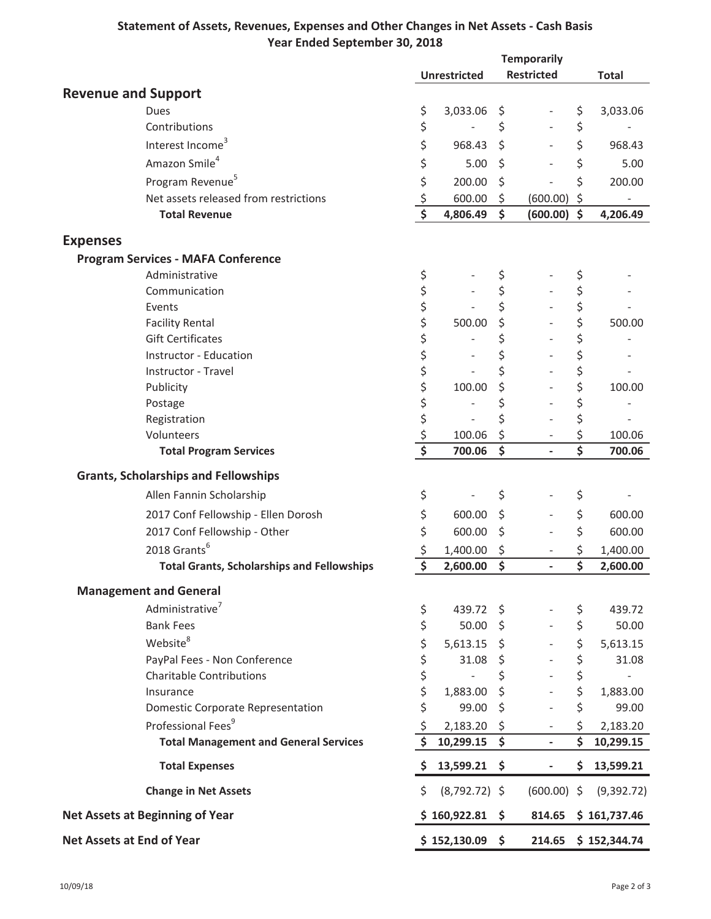## **Statement of Assets, Revenues, Expenses and Other Changes in Net Assets - Cash Basis Year Ended September 30, 2018**

|                            |                                                   |                                     | <b>Temporarily</b>  |    |                              |                                 |                     |
|----------------------------|---------------------------------------------------|-------------------------------------|---------------------|----|------------------------------|---------------------------------|---------------------|
|                            |                                                   |                                     | <b>Unrestricted</b> |    | <b>Restricted</b>            |                                 | <b>Total</b>        |
| <b>Revenue and Support</b> |                                                   |                                     |                     |    |                              |                                 |                     |
|                            | Dues                                              | \$                                  | 3,033.06            | \$ |                              | \$                              | 3,033.06            |
|                            | Contributions                                     | \$                                  |                     | \$ |                              | \$                              |                     |
|                            | Interest Income <sup>3</sup>                      | \$                                  | 968.43              | \$ |                              | \$                              | 968.43              |
|                            | Amazon Smile <sup>4</sup>                         | \$                                  | 5.00                | \$ |                              | \$                              | 5.00                |
|                            | Program Revenue <sup>5</sup>                      | \$                                  | 200.00              | \$ |                              | \$                              | 200.00              |
|                            | Net assets released from restrictions             | \$                                  | 600.00              | \$ | (600.00)                     | \$                              |                     |
|                            | <b>Total Revenue</b>                              | $\overline{\boldsymbol{\xi}}$       | 4,806.49            | \$ | $(600.00)$ \$                |                                 | 4,206.49            |
| <b>Expenses</b>            |                                                   |                                     |                     |    |                              |                                 |                     |
|                            | <b>Program Services - MAFA Conference</b>         |                                     |                     |    |                              |                                 |                     |
|                            | Administrative                                    | \$                                  |                     | \$ |                              | \$                              |                     |
|                            | Communication                                     | \$                                  |                     | \$ |                              | \$                              |                     |
|                            | Events                                            | \$                                  |                     | \$ |                              | \$                              |                     |
|                            | <b>Facility Rental</b>                            | \$                                  | 500.00              | \$ |                              | \$                              | 500.00              |
|                            | <b>Gift Certificates</b>                          | \$                                  |                     | \$ |                              | \$                              |                     |
|                            | <b>Instructor - Education</b>                     | \$                                  |                     | \$ |                              | \$                              |                     |
|                            | Instructor - Travel                               | \$                                  | ÷,                  | \$ |                              | \$                              |                     |
|                            | Publicity                                         | \$                                  | 100.00              | \$ |                              | \$                              | 100.00              |
|                            | Postage                                           | \$<br>\$                            |                     | \$ | $\overline{a}$               | \$                              |                     |
|                            | Registration                                      |                                     |                     | \$ | $\qquad \qquad \blacksquare$ | \$                              |                     |
|                            | Volunteers                                        | $\frac{1}{2}$                       | 100.06              | \$ |                              | \$                              | 100.06              |
|                            | <b>Total Program Services</b>                     | $\overline{\boldsymbol{\varsigma}}$ | 700.06              | \$ |                              | $\overline{\boldsymbol{\zeta}}$ | 700.06              |
|                            | <b>Grants, Scholarships and Fellowships</b>       |                                     |                     |    |                              |                                 |                     |
|                            | Allen Fannin Scholarship                          | \$                                  |                     | \$ |                              | \$                              |                     |
|                            | 2017 Conf Fellowship - Ellen Dorosh               | \$                                  | 600.00              | \$ | $\overline{a}$               | \$                              | 600.00              |
|                            | 2017 Conf Fellowship - Other                      | \$                                  | 600.00              | \$ |                              | \$                              | 600.00              |
|                            | 2018 Grants <sup>6</sup>                          | \$                                  | 1,400.00            | \$ | $\blacksquare$               | \$                              | 1,400.00            |
|                            | <b>Total Grants, Scholarships and Fellowships</b> | \$                                  | 2,600.00            | \$ | ä,                           | \$                              | 2,600.00            |
|                            | <b>Management and General</b>                     |                                     |                     |    |                              |                                 |                     |
|                            | Administrative <sup>7</sup>                       | \$                                  | 439.72 \$           |    |                              | \$                              | 439.72              |
|                            | <b>Bank Fees</b>                                  | \$                                  | $50.00$ \$          |    |                              | \$                              | 50.00               |
|                            | Website <sup>8</sup>                              | \$                                  | $5,613.15$ \$       |    |                              | \$                              | 5,613.15            |
|                            | PayPal Fees - Non Conference                      | \$                                  | 31.08 \$            |    |                              | \$                              | 31.08               |
|                            | <b>Charitable Contributions</b>                   |                                     | $\frac{1}{2}$       | \$ |                              | \$                              |                     |
|                            | Insurance                                         | \$<br>\$                            | 1,883.00            | \$ |                              | \$                              | 1,883.00            |
|                            | Domestic Corporate Representation                 | \$                                  | 99.00               | \$ |                              | \$                              | 99.00               |
|                            | Professional Fees <sup>9</sup>                    | \$                                  | $2,183.20$ \$       |    |                              | \$                              | 2,183.20            |
|                            | <b>Total Management and General Services</b>      | \$                                  | 10,299.15           | \$ |                              | \$                              | 10,299.15           |
|                            | <b>Total Expenses</b>                             | \$                                  | 13,599.21 \$        |    |                              | \$                              | 13,599.21           |
|                            | <b>Change in Net Assets</b>                       | \$                                  | $(8,792.72)$ \$     |    | $(600.00)$ \$                |                                 | (9,392.72)          |
|                            | <b>Net Assets at Beginning of Year</b>            |                                     | $$160,922.81$ \$    |    |                              |                                 | 814.65 \$161,737.46 |
| Net Assets at End of Year  |                                                   |                                     | \$152,130.09\$      |    |                              |                                 | 214.65 \$152,344.74 |